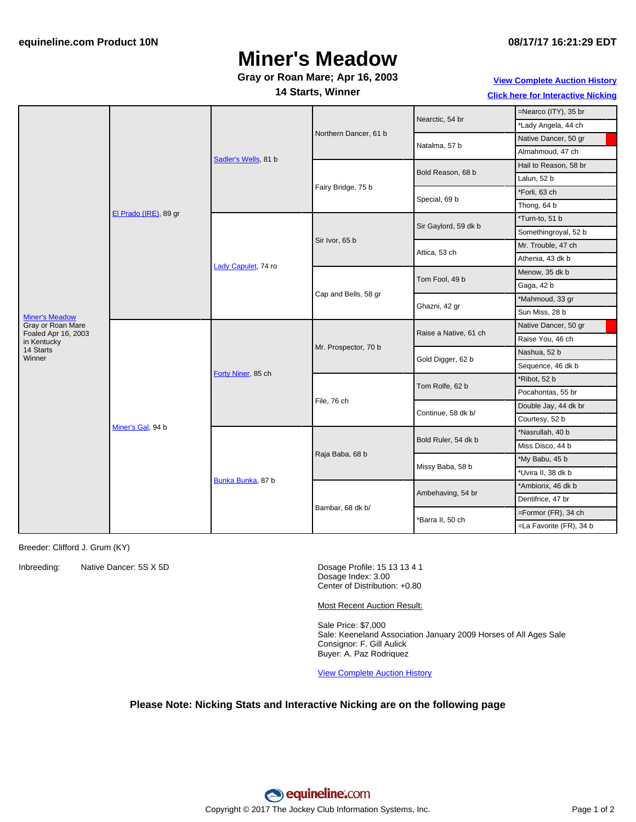# **Miner's Meadow**

### **Gray or Roan Mare; Apr 16, 2003**

**14 Starts, Winner**

**View [Complete](http://www.equineline.com/Free-Auction-Results.cfm?upsellReferenceNumber=&upsellHorseName=&upsellBreedType=&upsellHorseType=&upsellYOB=&lookupAuctionResults=true&tempHorseType=&tempSale=ALL&tempYear=ALL&search_type=HORSE&reference_number=6888684&horse_name=Fateful&horse_type=ALL&year=ALL&sale=ALL&consignor_id=&consignor_name=&buyer_id=&buyer_name=&price_range_low=&price_range_high=&availableConsignors=&availableBuyers=&fromFree5CrossPedigree=Y) Auction History Click here for [Interactive](#page-1-0) Nicking**

|                                                                                                                |                       |                      |                       |                       | =Nearco (ITY), 35 br    |
|----------------------------------------------------------------------------------------------------------------|-----------------------|----------------------|-----------------------|-----------------------|-------------------------|
|                                                                                                                | El Prado (IRE), 89 gr | Sadler's Wells, 81 b | Northern Dancer, 61 b | Nearctic, 54 br       | *Lady Angela, 44 ch     |
|                                                                                                                |                       |                      |                       | Natalma, 57 b         | Native Dancer, 50 gr    |
|                                                                                                                |                       |                      |                       |                       | Almahmoud, 47 ch        |
|                                                                                                                |                       |                      | Fairy Bridge, 75 b    | Bold Reason, 68 b     | Hail to Reason, 58 br   |
|                                                                                                                |                       |                      |                       |                       | Lalun, 52 b             |
|                                                                                                                |                       |                      |                       | Special, 69 b         | *Forli, 63 ch           |
|                                                                                                                |                       |                      |                       |                       | Thong, 64 b             |
| <b>Miner's Meadow</b><br>Gray or Roan Mare<br>Foaled Apr 16, 2003<br>in Kentucky<br>14 Starts<br><b>Winner</b> |                       | Lady Capulet, 74 ro  | Sir Ivor, 65 b        | Sir Gaylord, 59 dk b  | *Turn-to, 51 b          |
|                                                                                                                |                       |                      |                       |                       | Somethingroyal, 52 b    |
|                                                                                                                |                       |                      |                       | Attica, 53 ch         | Mr. Trouble, 47 ch      |
|                                                                                                                |                       |                      |                       |                       | Athenia, 43 dk b        |
|                                                                                                                |                       |                      | Cap and Bells, 58 gr  | Tom Fool, 49 b        | Menow, 35 dk b          |
|                                                                                                                |                       |                      |                       |                       | Gaga, 42 b              |
|                                                                                                                |                       |                      |                       | Ghazni, 42 gr         | *Mahmoud, 33 gr         |
|                                                                                                                |                       |                      |                       |                       | Sun Miss, 28 b          |
|                                                                                                                | Miner's Gal, 94 b     | Forty Niner, 85 ch   | Mr. Prospector, 70 b  | Raise a Native, 61 ch | Native Dancer, 50 gr    |
|                                                                                                                |                       |                      |                       |                       | Raise You, 46 ch        |
|                                                                                                                |                       |                      |                       | Gold Digger, 62 b     | Nashua, 52 b            |
|                                                                                                                |                       |                      |                       |                       | Sequence, 46 dk b       |
|                                                                                                                |                       |                      | File, 76 ch           | Tom Rolfe, 62 b       | *Ribot, 52 b            |
|                                                                                                                |                       |                      |                       |                       | Pocahontas, 55 br       |
|                                                                                                                |                       |                      |                       | Continue, 58 dk b/    | Double Jay, 44 dk br    |
|                                                                                                                |                       |                      |                       |                       | Courtesy, 52 b          |
|                                                                                                                |                       | Bunka Bunka, 87 b    | Raja Baba, 68 b       | Bold Ruler, 54 dk b   | *Nasrullah, 40 b        |
|                                                                                                                |                       |                      |                       |                       | Miss Disco, 44 b        |
|                                                                                                                |                       |                      |                       | Missy Baba, 58 b      | *My Babu, 45 b          |
|                                                                                                                |                       |                      |                       |                       | *Uvira II, 38 dk b      |
|                                                                                                                |                       |                      | Bambar, 68 dk b/      | Ambehaving, 54 br     | *Ambiorix, 46 dk b      |
|                                                                                                                |                       |                      |                       |                       | Dentifrice, 47 br       |
|                                                                                                                |                       |                      |                       | *Barra II, 50 ch      | =Formor (FR), 34 ch     |
|                                                                                                                |                       |                      |                       |                       | =La Favorite (FR), 34 b |

Breeder: Clifford J. Grum (KY)

Inbreeding: Native Dancer: 5S X 5D Dosage Profile: 15 13 13 4 1

Dosage Index: 3.00 Center of Distribution: +0.80

Most Recent Auction Result:

Sale Price: \$7,000 Sale: Keeneland Association January 2009 Horses of All Ages Sale Consignor: F. Gill Aulick Buyer: A. Paz Rodriquez

View [Complete](http://www.equineline.com/Free-Auction-Results.cfm?upsellReferenceNumber=&upsellHorseName=&upsellBreedType=&upsellHorseType=&upsellYOB=&lookupAuctionResults=true&tempHorseType=&tempSale=ALL&tempYear=ALL&search_type=HORSE&reference_number=6888684&horse_name=Fateful&horse_type=ALL&year=ALL&sale=ALL&consignor_id=&consignor_name=&buyer_id=&buyer_name=&price_range_low=&price_range_high=&availableConsignors=&availableBuyers=&fromFree5CrossPedigree=Y) Auction History

### **Please Note: Nicking Stats and Interactive Nicking are on the following page**